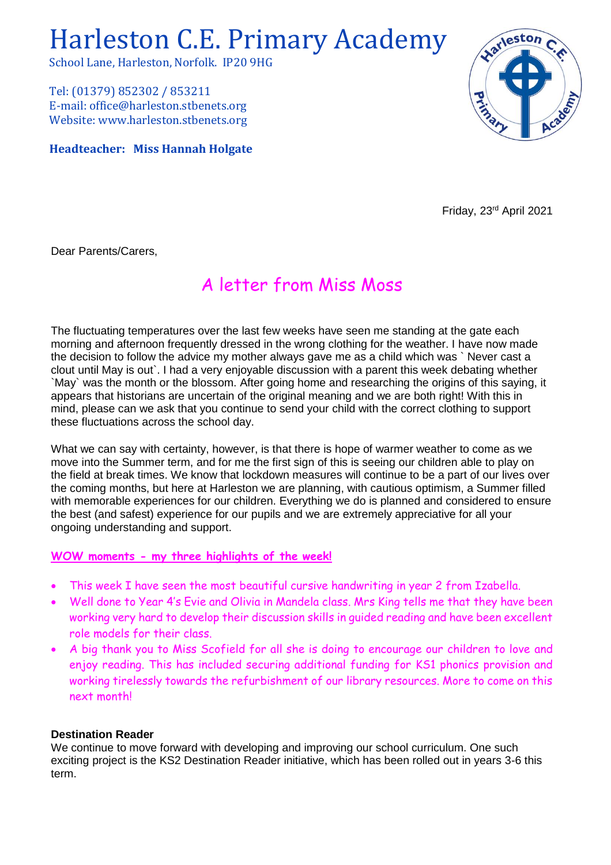# Harleston C.E. Primary Academy

School Lane, Harleston, Norfolk. IP20 9HG

Tel: (01379) 852302 / 853211 E-mail: office@harleston.stbenets.org Website: www.harleston.stbenets.org

**Headteacher: Miss Hannah Holgate**



Friday, 23rd April 2021

Dear Parents/Carers,

# A letter from Miss Moss

The fluctuating temperatures over the last few weeks have seen me standing at the gate each morning and afternoon frequently dressed in the wrong clothing for the weather. I have now made the decision to follow the advice my mother always gave me as a child which was ` Never cast a clout until May is out`. I had a very enjoyable discussion with a parent this week debating whether `May` was the month or the blossom. After going home and researching the origins of this saying, it appears that historians are uncertain of the original meaning and we are both right! With this in mind, please can we ask that you continue to send your child with the correct clothing to support these fluctuations across the school day.

What we can say with certainty, however, is that there is hope of warmer weather to come as we move into the Summer term, and for me the first sign of this is seeing our children able to play on the field at break times. We know that lockdown measures will continue to be a part of our lives over the coming months, but here at Harleston we are planning, with cautious optimism, a Summer filled with memorable experiences for our children. Everything we do is planned and considered to ensure the best (and safest) experience for our pupils and we are extremely appreciative for all your ongoing understanding and support.

# **WOW moments - my three highlights of the week!**

- This week I have seen the most beautiful cursive handwriting in year 2 from Izabella.
- Well done to Year 4's Evie and Olivia in Mandela class. Mrs King tells me that they have been working very hard to develop their discussion skills in guided reading and have been excellent role models for their class.
- A big thank you to Miss Scofield for all she is doing to encourage our children to love and enjoy reading. This has included securing additional funding for KS1 phonics provision and working tirelessly towards the refurbishment of our library resources. More to come on this next month!

# **Destination Reader**

We continue to move forward with developing and improving our school curriculum. One such exciting project is the KS2 Destination Reader initiative, which has been rolled out in years 3-6 this term.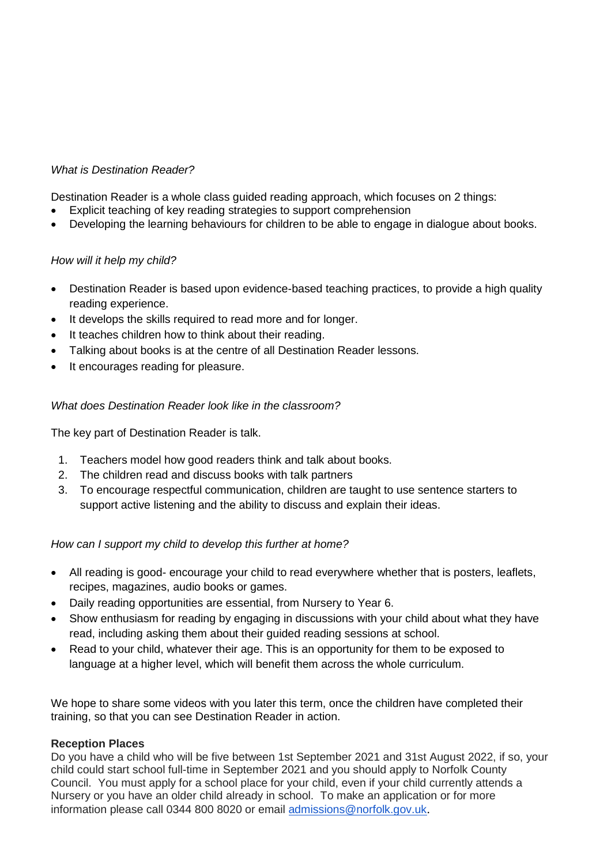# *What is Destination Reader?*

Destination Reader is a whole class guided reading approach, which focuses on 2 things:

- Explicit teaching of key reading strategies to support comprehension
- Developing the learning behaviours for children to be able to engage in dialogue about books.

# *How will it help my child?*

- Destination Reader is based upon evidence-based teaching practices, to provide a high quality reading experience.
- It develops the skills required to read more and for longer.
- It teaches children how to think about their reading.
- Talking about books is at the centre of all Destination Reader lessons.
- It encourages reading for pleasure.

#### *What does Destination Reader look like in the classroom?*

The key part of Destination Reader is talk.

- 1. Teachers model how good readers think and talk about books.
- 2. The children read and discuss books with talk partners
- 3. To encourage respectful communication, children are taught to use sentence starters to support active listening and the ability to discuss and explain their ideas.

# *How can I support my child to develop this further at home?*

- All reading is good- encourage your child to read everywhere whether that is posters, leaflets, recipes, magazines, audio books or games.
- Daily reading opportunities are essential, from Nursery to Year 6.
- Show enthusiasm for reading by engaging in discussions with your child about what they have read, including asking them about their guided reading sessions at school.
- Read to your child, whatever their age. This is an opportunity for them to be exposed to language at a higher level, which will benefit them across the whole curriculum.

We hope to share some videos with you later this term, once the children have completed their training, so that you can see Destination Reader in action.

#### **Reception Places**

Do you have a child who will be five between 1st September 2021 and 31st August 2022, if so, your child could start school full-time in September 2021 and you should apply to Norfolk County Council. You must apply for a school place for your child, even if your child currently attends a Nursery or you have an older child already in school. To make an application or for more information please call 0344 800 8020 or email [admissions@norfolk.gov.uk](mailto:admissions@norfolk.gov.uk).